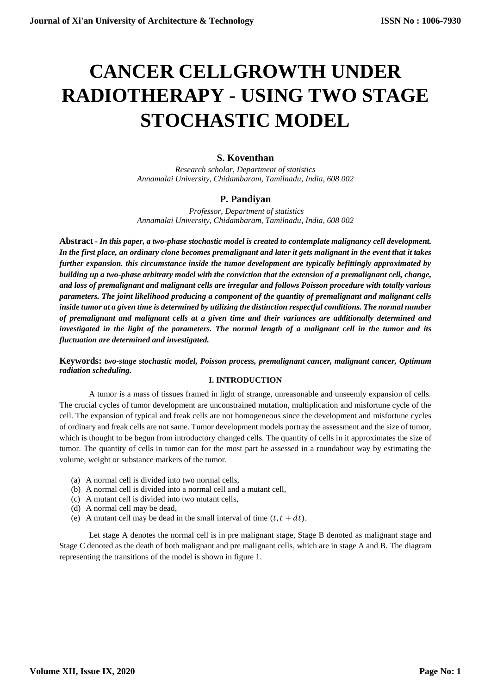# **CANCER CELLGROWTH UNDER RADIOTHERAPY** - **USING TWO STAGE STOCHASTIC MODEL**

# **S. Koventhan**

*Research scholar, Department of statistics Annamalai University, Chidambaram, Tamilnadu, India, 608 002*

# **P. Pandiyan**

*Professor, Department of statistics Annamalai University, Chidambaram, Tamilnadu, India, 608 002*

**Abstract -** *In this paper, a two-phase stochastic model is created to contemplate malignancy cell development. In the first place, an ordinary clone becomes premalignant and later it gets malignant in the event that it takes further expansion. this circumstance inside the tumor development are typically befittingly approximated by building up a two-phase arbitrary model with the conviction that the extension of a premalignant cell, change, and loss of premalignant and malignant cells are irregular and follows Poisson procedure with totally various parameters. The joint likelihood producing a component of the quantity of premalignant and malignant cells inside tumor at a given time is determined by utilizing the distinction respectful conditions. The normal number of premalignant and malignant cells at a given time and their variances are additionally determined and investigated in the light of the parameters. The normal length of a malignant cell in the tumor and its fluctuation are determined and investigated.*

**Keywords:** *two-stage stochastic model, Poisson process, premalignant cancer, malignant cancer, Optimum radiation scheduling.* 

# **I. INTRODUCTION**

A tumor is a mass of tissues framed in light of strange, unreasonable and unseemly expansion of cells. The crucial cycles of tumor development are unconstrained mutation, multiplication and misfortune cycle of the cell. The expansion of typical and freak cells are not homogeneous since the development and misfortune cycles of ordinary and freak cells are not same. Tumor development models portray the assessment and the size of tumor, which is thought to be begun from introductory changed cells. The quantity of cells in it approximates the size of tumor. The quantity of cells in tumor can for the most part be assessed in a roundabout way by estimating the volume, weight or substance markers of the tumor.

- (a) A normal cell is divided into two normal cells,
- (b) A normal cell is divided into a normal cell and a mutant cell,
- (c) A mutant cell is divided into two mutant cells,
- (d) A normal cell may be dead,
- (e) A mutant cell may be dead in the small interval of time  $(t, t + dt)$ .

Let stage A denotes the normal cell is in pre malignant stage, Stage B denoted as malignant stage and Stage C denoted as the death of both malignant and pre malignant cells, which are in stage A and B. The diagram representing the transitions of the model is shown in figure 1.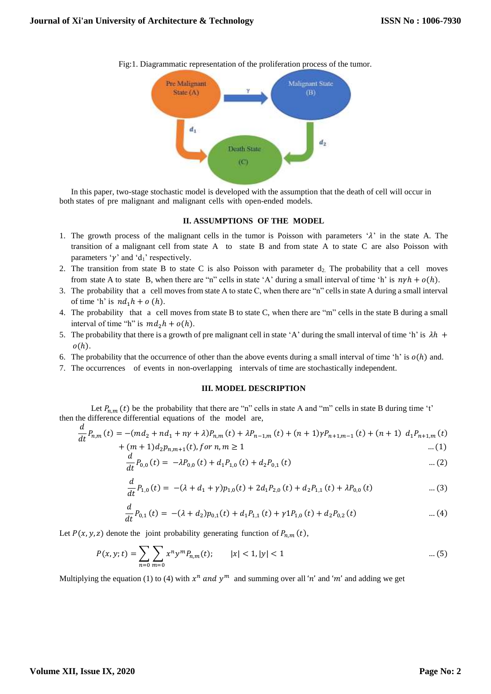

Fig:1. Diagrammatic representation of the proliferation process of the tumor.

In this paper, two-stage stochastic model is developed with the assumption that the death of cell will occur in both states of pre malignant and malignant cells with open-ended models.

#### **II. ASSUMPTIONS OF THE MODEL**

- 1. The growth process of the malignant cells in the tumor is Poisson with parameters ' $\lambda$ ' in the state A. The transition of a malignant cell from state A to state B and from state A to state C are also Poisson with parameters ' $\gamma$ ' and 'd<sub>1</sub>' respectively.
- 2. The transition from state B to state C is also Poisson with parameter  $d_2$ . The probability that a cell moves from state A to state B, when there are "n" cells in state 'A' during a small interval of time 'h' is  $n\gamma h + o(h)$ .
- 3. The probability that a cell moves from state A to state C, when there are "n" cells in state A during a small interval of time 'h' is  $nd_1h + o(h)$ .
- 4. The probability that a cell moves from state B to state C, when there are "m" cells in the state B during a small interval of time "h" is  $md_2h + o(h)$ .
- 5. The probability that there is a growth of pre malignant cell in state 'A' during the small interval of time 'h' is  $\lambda h$  +  $o(h)$ .
- 6. The probability that the occurrence of other than the above events during a small interval of time 'h' is  $o(h)$  and.
- 7. The occurrences of events in non-overlapping intervals of time are stochastically independent.

#### **III. MODEL DESCRIPTION**

Let  $P_{n,m}(t)$  be the probability that there are "n" cells in state A and "m" cells in state B during time 't' then the difference differential equations of the model are,  $\overline{d}$ 

$$
\frac{d}{dt}P_{n,m}(t) = -(md_2 + nd_1 + n\gamma + \lambda)P_{n,m}(t) + \lambda P_{n-1,m}(t) + (n+1)\gamma P_{n+1,m-1}(t) + (n+1) d_1 P_{n+1,m}(t) + (m+1)d_2 P_{n,m+1}(t), \text{ for } n, m \ge 1
$$
 ... (1)

$$
\frac{d}{dt}P_{0,0}(t) = -\lambda P_{0,0}(t) + d_1 P_{1,0}(t) + d_2 P_{0,1}(t) \qquad \qquad \dots (2)
$$

$$
\frac{d}{dt}P_{1,0}(t) = -(\lambda + d_1 + \gamma)p_{1,0}(t) + 2d_1P_{2,0}(t) + d_2P_{1,1}(t) + \lambda P_{0,0}(t) \tag{3}
$$

$$
\frac{d}{dt}P_{0,1}(t) = -(\lambda + d_2)p_{0,1}(t) + d_1P_{1,1}(t) + \gamma 1P_{1,0}(t) + d_2P_{0,2}(t) \qquad \qquad \dots (4)
$$

Let  $P(x, y, z)$  denote the joint probability generating function of  $P_{n,m}(t)$ ,

$$
P(x, y; t) = \sum_{n=0}^{\infty} \sum_{m=0}^{\infty} x^n y^m P_{n,m}(t); \qquad |x| < 1, |y| < 1 \qquad \dots (5)
$$

Multiplying the equation (1) to (4) with  $x^n$  and  $y^m$  and summing over all 'n' and 'm' and adding we get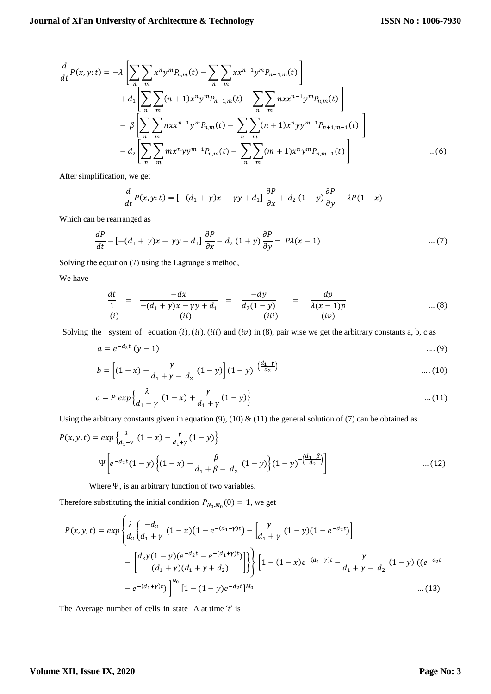$$
\frac{d}{dt}P(x,y:t) = -\lambda \left[ \sum_{n} \sum_{m} x^{n} y^{m} P_{n,m}(t) - \sum_{n} \sum_{m} x x^{n-1} y^{m} P_{n-1,m}(t) \right] \n+ d_{1} \left[ \sum_{n} \sum_{m} (n+1) x^{n} y^{m} P_{n+1,m}(t) - \sum_{n} \sum_{m} n x x^{n-1} y^{m} P_{n,m}(t) \right] \n- \beta \left[ \sum_{n} \sum_{m} n x x^{n-1} y^{m} P_{n,m}(t) - \sum_{n} \sum_{m} (n+1) x^{n} y y^{m-1} P_{n+1,m-1}(t) \right] \n- d_{2} \left[ \sum_{n} \sum_{m} m x^{n} y y^{m-1} P_{n,m}(t) - \sum_{n} \sum_{m} (m+1) x^{n} y^{m} P_{n,m+1}(t) \right] \qquad \dots (6)
$$

After simplification, we get

$$
\frac{d}{dt}P(x,y:t) = \left[ -(d_1 + \gamma)x - \gamma y + d_1 \right] \frac{\partial P}{\partial x} + d_2 (1 - y) \frac{\partial P}{\partial y} - \lambda P(1 - x)
$$

Which can be rearranged as

$$
\frac{dP}{dt} - \left[ -(d_1 + \gamma)x - \gamma y + d_1 \right] \frac{\partial P}{\partial x} - d_2 (1 + y) \frac{\partial P}{\partial y} = P\lambda(x - 1) \tag{7}
$$

Solving the equation (7) using the Lagrange's method,

We have

$$
\frac{dt}{1} = \frac{-dx}{-(d_1 + \gamma)x - \gamma y + d_1} = \frac{-dy}{d_2(1 - y)} = \frac{dp}{\lambda(x - 1)p}
$$
...(8)  
(i) (ii)

Solving the system of equation  $(i)$ ,  $(ii)$ ,  $(iii)$  and  $(iv)$  in (8), pair wise we get the arbitrary constants a, b, c as

$$
a = e^{-d_2 t} (y - 1) \qquad \qquad \dots (9)
$$

$$
b = \left[ (1-x) - \frac{\gamma}{d_1 + \gamma - d_2} (1-y) \right] (1-y)^{-(\frac{d_1 + \gamma}{d_2})} \qquad \dots (10)
$$

$$
c = P \exp \left\{ \frac{\lambda}{d_1 + \gamma} \left( 1 - x \right) + \frac{\gamma}{d_1 + \gamma} \left( 1 - y \right) \right\} \tag{11}
$$

Using the arbitrary constants given in equation (9), (10)  $\&$  (11) the general solution of (7) can be obtained as

$$
P(x, y, t) = exp\left\{\frac{\lambda}{d_1 + y} (1 - x) + \frac{\gamma}{d_1 + \gamma} (1 - y)\right\}
$$
  

$$
\Psi \left[ e^{-d_2 t} (1 - y) \left\{ (1 - x) - \frac{\beta}{d_1 + \beta - d_2} (1 - y) \right\} (1 - y)^{-\left(\frac{d_1 + \beta}{d_2}\right)} \right]
$$
...(12)

Where Ψ, is an arbitrary function of two variables.

Therefore substituting the initial condition  $P_{N_0, M_0}(0) = 1$ , we get

$$
P(x, y, t) = exp \left\{ \frac{\lambda}{d_2} \left\{ \frac{-d_2}{d_1 + \gamma} (1 - x) \left( 1 - e^{-(d_1 + \gamma)t} \right) - \left[ \frac{\gamma}{d_1 + \gamma} (1 - y) \left( 1 - e^{-d_2 t} \right) \right] \right\}
$$

$$
- \left[ \frac{d_2 \gamma (1 - y) (e^{-d_2 t} - e^{-(d_1 + \gamma)t})}{(d_1 + \gamma)(d_1 + \gamma + d_2)} \right] \right\} \left[ 1 - (1 - x) e^{-(d_1 + \gamma)t} - \frac{\gamma}{d_1 + \gamma - d_2} (1 - y) \left( (e^{-d_2 t} - e^{-(d_1 + \gamma)t}) \right) \right] \left[ 1 - (1 - x) e^{-(d_1 + \gamma)t} - \frac{\gamma}{d_1 + \gamma - d_2} (1 - y) \right] \tag{13}
$$

The Average number of cells in state A at time 't' is

# **Volume XII, Issue IX, 2020**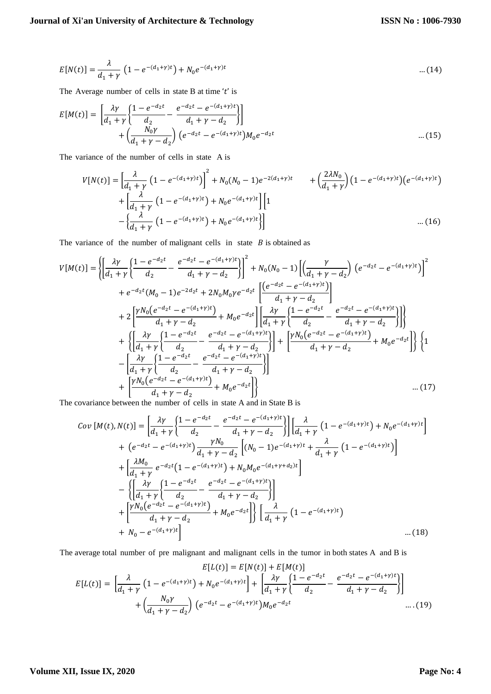$$
E[N(t)] = \frac{\lambda}{d_1 + \gamma} \left( 1 - e^{-(d_1 + \gamma)t} \right) + N_0 e^{-(d_1 + \gamma)t} \tag{14}
$$

The Average number of cells in state B at time 't' is

$$
E[M(t)] = \left[ \frac{\lambda \gamma}{d_1 + \gamma} \left\{ \frac{1 - e^{-d_2 t}}{d_2} - \frac{e^{-d_2 t} - e^{-(d_1 + \gamma)t}}{d_1 + \gamma - d_2} \right\} \right] + \left( \frac{N_0 \gamma}{d_1 + \gamma - d_2} \right) \left( e^{-d_2 t} - e^{-(d_1 + \gamma)t} \right) M_0 e^{-d_2 t} \qquad \qquad \dots (15)
$$

The variance of the number of cells in state A is

$$
V[N(t)] = \left[\frac{\lambda}{d_1 + \gamma} \left(1 - e^{-(d_1 + \gamma)t}\right)\right]^2 + N_0(N_0 - 1)e^{-2(d_1 + \gamma)t} + \left(\frac{2\lambda N_0}{d_1 + \gamma}\right)\left(1 - e^{-(d_1 + \gamma)t}\right)\n+ \left[\frac{\lambda}{d_1 + \gamma} \left(1 - e^{-(d_1 + \gamma)t}\right) + N_0 e^{-(d_1 + \gamma)t}\right]\n\left[1 - \left(\frac{\lambda}{d_1 + \gamma} \left(1 - e^{-(d_1 + \gamma)t}\right) + N_0 e^{-(d_1 + \gamma)t}\right)\right]\n\qquad \qquad \dots (16)
$$

The variance of the number of malignant cells in state  $B$  is obtained as

$$
V[M(t)] = \left\{ \left[ \frac{\lambda \gamma}{d_1 + \gamma} \left\{ \frac{1 - e^{-d_2 t}}{d_2} - \frac{e^{-d_2 t} - e^{-(d_1 + \gamma)t}}{d_1 + \gamma - d_2} \right\} \right]^2 + N_0(N_0 - 1) \left[ \left( \frac{\gamma}{d_1 + \gamma - d_2} \right) \left( e^{-d_2 t} - e^{-(d_1 + \gamma)t} \right) \right]^2 \right\}
$$
  
+ 
$$
e^{-d_2 t} (M_0 - 1) e^{-2d_2 t} + 2N_0 M_0 \gamma e^{-d_2 t} \left[ \frac{\left( e^{-d_2 t} - e^{-(d_1 + \gamma)t} \right)}{d_1 + \gamma - d_2} \right]
$$
  
+ 
$$
2 \left[ \frac{\gamma N_0 (e^{-d_2 t} - e^{-(d_1 + \gamma)t})}{d_1 + \gamma - d_2} + M_0 e^{-d_2 t} \right] \left[ \frac{\lambda \gamma}{d_1 + \gamma} \left\{ \frac{1 - e^{-d_2 t}}{d_2} - \frac{e^{-d_2 t} - e^{-(d_1 + \gamma)t}}{d_1 + \gamma - d_2} \right\} \right] \right\}
$$
  
+ 
$$
\left\{ \left[ \frac{\lambda \gamma}{d_1 + \gamma} \left\{ \frac{1 - e^{-d_2 t}}{d_2} - \frac{e^{-d_2 t} - e^{-(d_1 + \gamma)t}}{d_1 + \gamma - d_2} \right\} \right] + \left[ \frac{\gamma N_0 (e^{-d_2 t} - e^{-(d_1 + \gamma)t})}{d_1 + \gamma - d_2} + M_0 e^{-d_2 t} \right] \right\} \left\{ 1 - \left[ \frac{\lambda \gamma}{d_1 + \gamma} \left\{ \frac{1 - e^{-d_2 t}}{d_2} - \frac{e^{-d_2 t} - e^{-(d_1 + \gamma)t}}{d_1 + \gamma - d_2} \right\} \right] \right\}
$$
  
+ 
$$
\left[ \frac{\gamma N_0 (e^{-d_2 t} - e^{-(d_1 + \gamma)t})}{d_1 + \gamma - d_2} + M_0 e^{-d_2 t} \right]
$$
...(17)

The covariance between the number of cells in state A and in State B is

$$
Cov [M(t), N(t)] = \left[ \frac{\lambda \gamma}{d_1 + \gamma} \left\{ \frac{1 - e^{-d_2 t}}{d_2} - \frac{e^{-d_2 t} - e^{-(d_1 + \gamma)t}}{d_1 + \gamma - d_2} \right\} \right] \left[ \frac{\lambda}{d_1 + \gamma} \left( 1 - e^{-(d_1 + \gamma)t} \right) + N_0 e^{-(d_1 + \gamma)t} \right]
$$
  
+ 
$$
\left( e^{-d_2 t} - e^{-(d_1 + \gamma)t} \right) \frac{\gamma N_0}{d_1 + \gamma - d_2} \left[ (N_0 - 1) e^{-(d_1 + \gamma)t} + \frac{\lambda}{d_1 + \gamma} \left( 1 - e^{-(d_1 + \gamma)t} \right) \right]
$$
  
+ 
$$
\left[ \frac{\lambda M_0}{d_1 + \gamma} e^{-d_2 t} \left( 1 - e^{-(d_1 + \gamma)t} \right) + N_0 M_0 e^{-(d_1 + \gamma + d_2)t} \right]
$$
  
- 
$$
\left\{ \left[ \frac{\lambda \gamma}{d_1 + \gamma} \left\{ \frac{1 - e^{-d_2 t}}{d_2} - \frac{e^{-d_2 t} - e^{-(d_1 + \gamma)t}}{d_1 + \gamma - d_2} \right\} \right] \right\}
$$
  
+ 
$$
\left[ \frac{\gamma N_0 (e^{-d_2 t} - e^{-(d_1 + \gamma)t})}{d_1 + \gamma - d_2} + M_0 e^{-d_2 t} \right] \left\{ \left[ \frac{\lambda}{d_1 + \gamma} \left( 1 - e^{-(d_1 + \gamma)t} \right) \right\} \right. \dots (18)
$$

The average total number of pre malignant and malignant cells in the tumor in both states A and B is

$$
E[L(t)] = E[N(t)] + E[M(t)]
$$
  
\n
$$
E[L(t)] = \left[\frac{\lambda}{d_1 + \gamma} \left(1 - e^{-(d_1 + \gamma)t}\right) + N_0 e^{-(d_1 + \gamma)t}\right] + \left[\frac{\lambda \gamma}{d_1 + \gamma} \left\{\frac{1 - e^{-d_2 t}}{d_2} - \frac{e^{-d_2 t} - e^{-(d_1 + \gamma)t}}{d_1 + \gamma - d_2}\right\}\right]
$$
  
\n
$$
+ \left(\frac{N_0 \gamma}{d_1 + \gamma - d_2}\right) \left(e^{-d_2 t} - e^{-(d_1 + \gamma)t}\right) M_0 e^{-d_2 t}
$$
...(19)

# **Volume XII, Issue IX, 2020**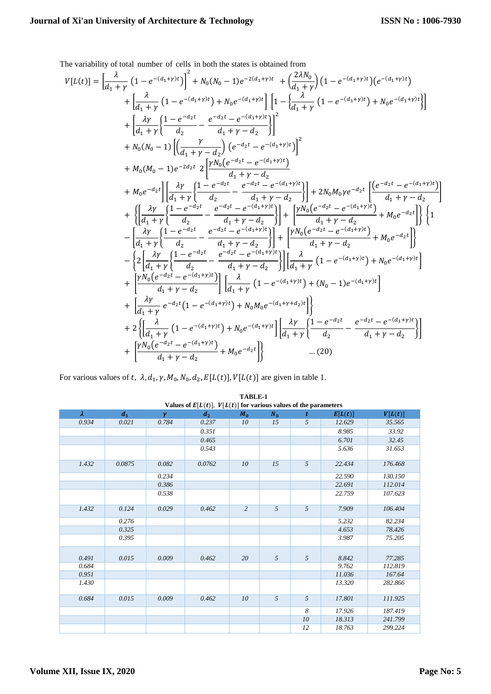The variability of total number of cells in both the states is obtained from

$$
V[L(t)] = \left[\frac{\lambda}{d_1 + \gamma} \left(1 - e^{-(d_1 + \gamma)t}\right)\right]^2 + N_0(N_0 - 1)e^{-2(d_1 + \gamma)t} + \left(\frac{2\lambda N_0}{d_1 + \gamma}\right)\left(1 - e^{-(d_1 + \gamma)t}\right)\left(e^{-(d_1 + \gamma)t}\right) + \left[\frac{\lambda}{d_1 + \gamma}\left(1 - e^{-(d_1 + \gamma)t}\right) + N_0e^{-(d_1 + \gamma)t}\right]\right] \left[1 - \left\{\frac{\lambda}{d_1 + \gamma}\left(1 - e^{-(d_1 + \gamma)t}\right) + N_0e^{-(d_1 + \gamma)t}\right\}\right] + \left[\frac{\lambda \gamma}{d_1 + \gamma}\left\{\frac{1 - e^{-d_2 t}}{d_2} - \frac{e^{-d_2 t} - e^{-(d_1 + \gamma)t}}{d_1 + \gamma - d_2}\right\}\right]^2 + M_0(N_0 - 1)\left[\left(\frac{\gamma}{d_1 + \gamma - d_2}\right) \left(e^{-d_2 t} - e^{-(d_1 + \gamma)t}\right)\right]^2 + M_0(N_0 - 1)e^{-2d_2 t} \left[\frac{\gamma N_0 \left(e^{-d_2 t} - e^{-(d_1 + \gamma)t}\right)}{d_1 + \gamma - d_2}\right] + 2N_0M_0\gamma e^{-d_2 t} \left[\frac{\left(e^{-d_2 t} - e^{-(d_1 + \gamma)t}\right)}{d_1 + \gamma - d_2}\right] + \left\{\left[\frac{\lambda \gamma}{d_1 + \gamma}\left\{\frac{1 - e^{-d_2 t}}{d_2} - \frac{e^{-d_2 t} - e^{-(d_1 + \gamma)t}}{d_1 + \gamma - d_2}\right\}\right] + 2N_0M_0\gamma e^{-d_2 t} \left[\frac{\left(e^{-d_2 t} - e^{-(d_1 + \gamma)t}\right)}{d_1 + \gamma - d_2}\right] + \left\{\frac{\lambda \gamma}{d_1 + \gamma}\left\{\frac{1 - e^{-d_2 t}}{d_2} - \frac{e^{-d_2 t} - e^{-(d_1 + \gamma)t}}{d_1 + \gamma - d_2}\right\}\right] + \left[N_0(e^{-d_2 t} - e^{-(d_1 + \gamma)t}) + M_0e^{-d_2 t}\right]\right\}\left\{1 - \left[\frac{\lambda \gamma}{d_1 + \gamma}\left\
$$

For various values of t,  $\lambda$ ,  $d_1$ ,  $\gamma$ ,  $M_0$ ,  $N_0$ ,  $d_2$ ,  $E[L(t)]$ ,  $V[L(t)]$  are given in table 1.

| Values of $E[L(t)]$ , $V[L(t)]$ for various values of the parameters |                    |          |        |                |                 |                |         |         |
|----------------------------------------------------------------------|--------------------|----------|--------|----------------|-----------------|----------------|---------|---------|
| $\lambda$                                                            | $\boldsymbol{d}_1$ | $\gamma$ | $d_2$  | $M_0$          | $N_0$           | t              | E[L(t)] | V[L(t)] |
| 0.934                                                                | 0.021              | 0.784    | 0.237  | 10             | $\overline{15}$ | $\overline{5}$ | 12.629  | 35.565  |
|                                                                      |                    |          | 0.351  |                |                 |                | 8.985   | 33.92   |
|                                                                      |                    |          | 0.465  |                |                 |                | 6.701   | 32.45   |
|                                                                      |                    |          | 0.543  |                |                 |                | 5.636   | 31.653  |
| 1.432                                                                | 0.0875             | 0.082    | 0.0762 | 10             | 15              | 5              | 22.434  | 176.468 |
|                                                                      |                    | 0.234    |        |                |                 |                | 22.590  | 130.150 |
|                                                                      |                    | 0.386    |        |                |                 |                | 22.691  | 112.014 |
|                                                                      |                    | 0.538    |        |                |                 |                | 22.759  | 107.623 |
| 1.432                                                                | 0.124              | 0.029    | 0.462  | $\overline{2}$ | $\overline{5}$  | $\overline{5}$ | 7.909   | 106.404 |
|                                                                      | 0.276              |          |        |                |                 |                | 5.232   | 82.234  |
|                                                                      | 0.325              |          |        |                |                 |                | 4.653   | 78.426  |
|                                                                      | 0.395              |          |        |                |                 |                | 3.987   | 75.205  |
| 0.491                                                                | 0.015              | 0.009    | 0.462  | 20             | 5               | 5              | 8.842   | 77.285  |
| 0.684                                                                |                    |          |        |                |                 |                | 9.762   | 112.819 |
| 0.951                                                                |                    |          |        |                |                 |                | 11.036  | 167.64  |
| 1.430                                                                |                    |          |        |                |                 |                | 13.320  | 282.866 |
| 0.684                                                                | 0.015              | 0.009    | 0.462  | 10             | 5               | 5              | 17.801  | 111.925 |
|                                                                      |                    |          |        |                |                 | 8              | 17.926  | 187.419 |
|                                                                      |                    |          |        |                |                 | 10             | 18.313  | 241.799 |
|                                                                      |                    |          |        |                |                 | 12             | 18.763  | 299.224 |

**TABLE-1**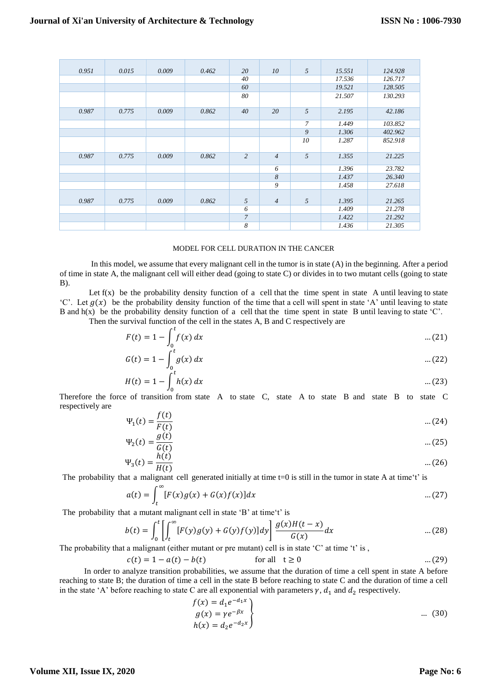| 0.951 | 0.015 | 0.009 | 0.462 | 20             | 10             | 5              | 15.551 | 124.928 |
|-------|-------|-------|-------|----------------|----------------|----------------|--------|---------|
|       |       |       |       | 40             |                |                | 17.536 | 126.717 |
|       |       |       |       | 60             |                |                | 19.521 | 128.505 |
|       |       |       |       | 80             |                |                | 21.507 | 130.293 |
| 0.987 | 0.775 | 0.009 | 0.862 | 40             | 20             | 5              | 2.195  | 42.186  |
|       |       |       |       |                |                | $\overline{7}$ | 1.449  | 103.852 |
|       |       |       |       |                |                | 9              | 1.306  | 402.962 |
|       |       |       |       |                |                | 10             | 1.287  | 852.918 |
| 0.987 | 0.775 | 0.009 | 0.862 | $\overline{c}$ | $\overline{4}$ | $\overline{5}$ | 1.355  | 21.225  |
|       |       |       |       |                | 6              |                | 1.396  | 23.782  |
|       |       |       |       |                | 8              |                | 1.437  | 26.340  |
|       |       |       |       |                | 9              |                | 1.458  | 27.618  |
|       |       |       |       |                |                |                |        |         |
| 0.987 | 0.775 | 0.009 | 0.862 | 5              | $\overline{4}$ | 5              | 1.395  | 21.265  |
|       |       |       |       | 6              |                |                | 1.409  | 21.278  |
|       |       |       |       | $\overline{7}$ |                |                | 1.422  | 21.292  |
|       |       |       |       | 8              |                |                | 1.436  | 21.305  |

## MODEL FOR CELL DURATION IN THE CANCER

In this model, we assume that every malignant cell in the tumor is in state (A) in the beginning. After a period of time in state A, the malignant cell will either dead (going to state C) or divides in to two mutant cells (going to state B).

Let  $f(x)$  be the probability density function of a cell that the time spent in state A until leaving to state 'C'. Let  $g(x)$  be the probability density function of the time that a cell will spent in state 'A' until leaving to state B and  $h(x)$  be the probability density function of a cell that the time spent in state B until leaving to state 'C'.

Then the survival function of the cell in the states A, B and C respectively are

$$
F(t) = 1 - \int_0^t f(x) \, dx \tag{21}
$$

$$
G(t) = 1 - \int_{0}^{t} g(x) dx
$$
 ... (22)

$$
H(t) = 1 - \int_0^t h(x) \, dx \tag{23}
$$

Therefore the force of transition from state A to state C, state A to state B and state B to state C respectively are  $\epsilon$  (i)

$$
\Psi_1(t) = \frac{f(t)}{F(t)} \tag{24}
$$

$$
\Psi_2(t) = \frac{g(t)}{G(t)} \tag{25}
$$

$$
\Psi_3(t) = \frac{h(t)}{H(t)} \tag{26}
$$

The probability that a malignant cell generated initially at time  $t=0$  is still in the tumor in state A at time't' is

$$
a(t) = \int_{t}^{\infty} [F(x)g(x) + G(x)f(x)]dx \qquad \qquad \dots (27)
$$

The probability that a mutant malignant cell in state 'B' at time't' is

$$
b(t) = \int_0^t \left[ \int_t^{\infty} [F(y)g(y) + G(y)f(y)] dy \right] \frac{g(x)H(t-x)}{G(x)} dx \qquad \dots (28)
$$

The probability that a malignant (either mutant or pre mutant) cell is in state 'C' at time 't' is,

$$
c(t) = 1 - a(t) - b(t)
$$
 for all  $t \ge 0$  ... (29)

 In order to analyze transition probabilities, we assume that the duration of time a cell spent in state A before reaching to state B; the duration of time a cell in the state B before reaching to state C and the duration of time a cell in the state 'A' before reaching to state C are all exponential with parameters  $\gamma$ ,  $d_1$  and  $d_2$  respectively.

$$
f(x) = d_1 e^{-d_1 x}
$$
  
\n
$$
g(x) = \gamma e^{-\beta x}
$$
  
\n
$$
h(x) = d_2 e^{-d_2 x}
$$
 ... (30)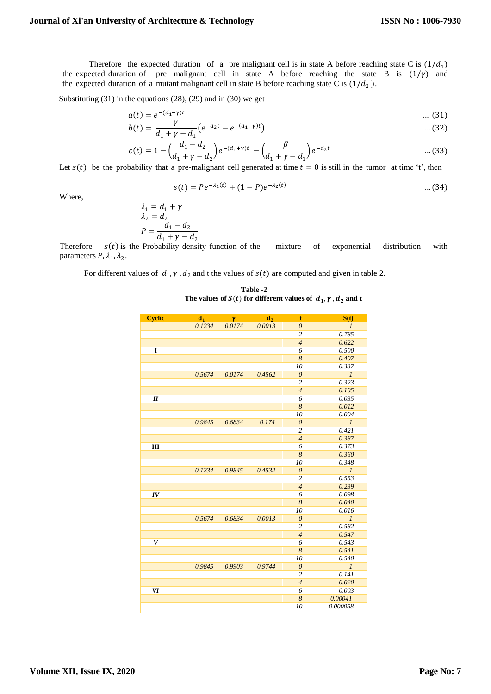Therefore the expected duration of a pre malignant cell is in state A before reaching state C is  $(1/d_1)$ the expected duration of pre malignant cell in state A before reaching the state B is  $(1/\gamma)$  and the expected duration of a mutant malignant cell in state B before reaching state C is  $(1/d_2)$ .

Substituting (31) in the equations (28), (29) and in (30) we get

$$
a(t) = e^{-(d_1 + \gamma)t} \qquad \qquad \dots (31)
$$

$$
b(t) = \frac{r}{d_1 + \gamma - d_1} \left( e^{-d_2 t} - e^{-(d_1 + \gamma)t} \right) \tag{32}
$$

$$
c(t) = 1 - \left(\frac{d_1 - d_2}{d_1 + \gamma - d_2}\right) e^{-(d_1 + \gamma)t} - \left(\frac{\beta}{d_1 + \gamma - d_1}\right) e^{-d_2 t} \qquad \qquad \dots (33)
$$

Let  $s(t)$  be the probability that a pre-malignant cell generated at time  $t = 0$  is still in the tumor at time 't', then

$$
s(t) = Pe^{-\lambda_1(t)} + (1 - P)e^{-\lambda_2(t)} \tag{34}
$$

Where,

$$
\lambda_1 = d_1 + \gamma
$$
  
\n
$$
\lambda_2 = d_2
$$
  
\n
$$
P = \frac{d_1 - d_2}{d_1 + \gamma - d_2}
$$

Therefore  $s(t)$  is the Probability density function of the mixture of exponential distribution with parameters  $P$ ,  $\lambda_1$ ,  $\lambda_2$ .

For different values of  $d_1$ ,  $\gamma$ ,  $d_2$  and t the values of  $s(t)$  are computed and given in table 2.

 **Table -2** The values of  $S(t)$  for different values of  $d_1$ ,  $\gamma$ ,  $d_2$  and t

| <b>Cyclic</b> | d <sub>1</sub> | $\mathbf{v}$ | d <sub>2</sub> | $\mathbf t$           | S(t)           |
|---------------|----------------|--------------|----------------|-----------------------|----------------|
|               | 0.1234         | 0.0174       | 0.0013         | $\boldsymbol{\theta}$ | $\mathcal{I}$  |
|               |                |              |                | $\overline{c}$        | 0.785          |
|               |                |              |                | $\overline{4}$        | 0.622          |
| I             |                |              |                | 6                     | 0.500          |
|               |                |              |                | $\boldsymbol{8}$      | 0.407          |
|               |                |              |                | 10                    | 0.337          |
|               | 0.5674         | 0.0174       | 0.4562         | $\theta$              | $\mathfrak{1}$ |
|               |                |              |                | $\overline{c}$        | 0.323          |
|               |                |              |                | $\overline{4}$        | 0.105          |
| II            |                |              |                | 6                     | 0.035          |
|               |                |              |                | 8                     | 0.012          |
|               |                |              |                | 10                    | 0.004          |
|               | 0.9845         | 0.6834       | 0.174          | $\boldsymbol{\theta}$ | $\mathfrak{1}$ |
|               |                |              |                | $\overline{c}$        | 0.421          |
|               |                |              |                | $\overline{4}$        | 0.387          |
| Ш             |                |              |                | 6                     | 0.373          |
|               |                |              |                | $\overline{\delta}$   | 0.360          |
|               |                |              |                | 10                    | 0.348          |
|               | 0.1234         | 0.9845       | 0.4532         | $\boldsymbol{\theta}$ | $\mathfrak{1}$ |
|               |                |              |                | $\overline{c}$        | 0.553          |
|               |                |              |                | $\overline{4}$        | 0.239          |
| IV            |                |              |                | 6                     | 0.098          |
|               |                |              |                | $\boldsymbol{8}$      | 0.040          |
|               |                |              |                | 10                    | 0.016          |
|               | 0.5674         | 0.6834       | 0.0013         | $\boldsymbol{\theta}$ | $\mathfrak{1}$ |
|               |                |              |                | $\overline{c}$        | 0.582          |
|               |                |              |                | $\overline{4}$        | 0.547          |
| V             |                |              |                | 6                     | 0.543          |
|               |                |              |                | $\overline{8}$        | 0.541          |
|               |                |              |                | 10                    | 0.540          |
|               | 0.9845         | 0.9903       | 0.9744         | $\boldsymbol{\theta}$ | $\mathfrak{1}$ |
|               |                |              |                | $\overline{c}$        | 0.141          |
|               |                |              |                | $\overline{4}$        | 0.020          |
| VI            |                |              |                | $\overline{6}$        | 0.003          |
|               |                |              |                | $\boldsymbol{8}$      | 0.00041        |
|               |                |              |                | 10                    | 0.000058       |